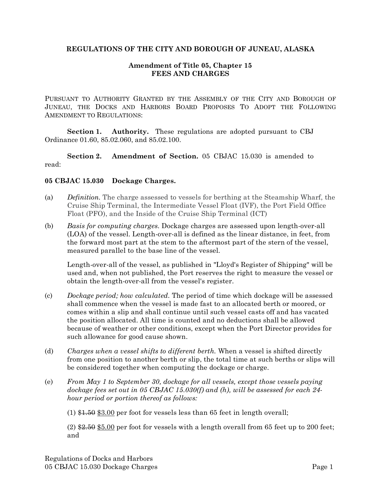### **REGULATIONS OF THE CITY AND BOROUGH OF JUNEAU, ALASKA**

## **Amendment of Title 05, Chapter 15 FEES AND CHARGES**

PURSUANT TO AUTHORITY GRANTED BY THE ASSEMBLY OF THE CITY AND BOROUGH OF JUNEAU, THE DOCKS AND HARBORS BOARD PROPOSES TO ADOPT THE FOLLOWING AMENDMENT TO REGULATIONS:

**Section 1. Authority.** These regulations are adopted pursuant to CBJ Ordinance 01.60, 85.02.060, and 85.02.100.

**Section 2. Amendment of Section.** 05 CBJAC 15.030 is amended to read:

### **05 CBJAC 15.030 Dockage Charges.**

- (a) *Definition.* The charge assessed to vessels for berthing at the Steamship Wharf, the Cruise Ship Terminal, the Intermediate Vessel Float (IVF), the Port Field Office Float (PFO), and the Inside of the Cruise Ship Terminal (ICT)
- (b) *Basis for computing charges.* Dockage charges are assessed upon length-over-all (LOA) of the vessel. Length-over-all is defined as the linear distance, in feet, from the forward most part at the stem to the aftermost part of the stern of the vessel, measured parallel to the base line of the vessel.

Length-over-all of the vessel, as published in "Lloyd's Register of Shipping" will be used and, when not published, the Port reserves the right to measure the vessel or obtain the length-over-all from the vessel's register.

- (c) *Dockage period; how calculated.* The period of time which dockage will be assessed shall commence when the vessel is made fast to an allocated berth or moored, or comes within a slip and shall continue until such vessel casts off and has vacated the position allocated. All time is counted and no deductions shall be allowed because of weather or other conditions, except when the Port Director provides for such allowance for good cause shown.
- (d) *Charges when a vessel shifts to different berth.* When a vessel is shifted directly from one position to another berth or slip, the total time at such berths or slips will be considered together when computing the dockage or charge.
- (e) *From May 1 to September 30, dockage for all vessels, except those vessels paying dockage fees set out in 05 CBJAC 15.030(f) and (h), will be assessed for each 24 hour period or portion thereof as follows:*

 $(1)$  \$1.50 \$3.00 per foot for vessels less than 65 feet in length overall;

(2)  $\frac{2}{32.50}$  \$5.00 per foot for vessels with a length overall from 65 feet up to 200 feet; and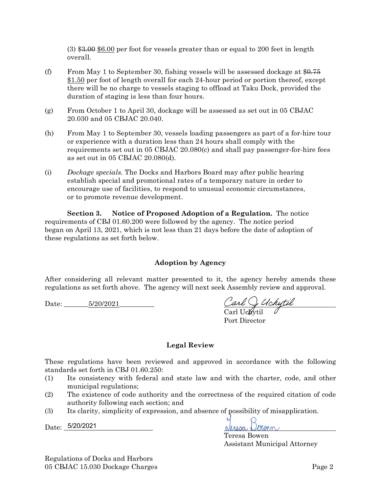$(3)$  \$3.00 \$6.00 per foot for vessels greater than or equal to 200 feet in length overall.

- (f) From May 1 to September 30, fishing vessels will be assessed dockage at  $$0.75$ \$1.50 per foot of length overall for each 24-hour period or portion thereof, except there will be no charge to vessels staging to offload at Taku Dock, provided the duration of staging is less than four hours.
- (g) From October 1 to April 30, dockage will be assessed as set out in 05 CBJA[C](https://library.municode.com/ak/juneau/codes/code_of_ordinances?nodeId=PTIVADCORE_TIT05DOHA_CH20SMBOHAFECH_05_CBJAC_20.030DAMOFE) [20.030](https://library.municode.com/ak/juneau/codes/code_of_ordinances?nodeId=PTIVADCORE_TIT05DOHA_CH20SMBOHAFECH_05_CBJAC_20.030DAMOFE) and 05 CBJAC [20.040.](https://library.municode.com/ak/juneau/codes/code_of_ordinances?nodeId=PTIVADCORE_TIT05DOHA_CH20SMBOHAFECH_05_CBJAC_20.040RE)
- (h) From May 1 to September 30, vessels loading passengers as part of a for-hire tour or experience with a duration less than 24 hours shall comply with the requirements set out in 05 CBJAC [20.080\(](https://library.municode.com/ak/juneau/codes/code_of_ordinances?nodeId=PTIVADCORE_TIT05DOHA_CH20SMBOHAFECH_05_CBJAC_20.080PAREFE)c) and shall pay passenger-for-hire fees as set out in 05 CBJAC [20.080\(](https://library.municode.com/ak/juneau/codes/code_of_ordinances?nodeId=PTIVADCORE_TIT05DOHA_CH20SMBOHAFECH_05_CBJAC_20.080PAREFE)d).
- (i) *Dockage specials.* The Docks and Harbors Board may after public hearing establish special and promotional rates of a temporary nature in order to encourage use of facilities, to respond to unusual economic circumstances, or to promote revenue development.

**Section 3. Notice of Proposed Adoption of a Regulation.** The notice requirements of CBJ 01.60.200 were followed by the agency. The notice period began on April 13, 2021, which is not less than 21 days before the date of adoption of these regulations as set forth below.

# **Adoption by Agency**

After considering all relevant matter presented to it, the agency hereby amends these regulations as set forth above. The agency will next seek Assembly review and approval.

Date: 5/20/2021

Carl O Uchytil<br>Carl Uchytil

Port Director

#### **Legal Review**

These regulations have been reviewed and approved in accordance with the following standards set forth in CBJ 01.60.250:

- (1) Its consistency with federal and state law and with the charter, code, and other municipal regulations;
- (2) The existence of code authority and the correctness of the required citation of code authority following each section; and
- (3) Its clarity, simplicity of expression, and absence of possibility of misapplication.

Date: 5/20/2021

Neresa Dourn

Teresa Bowen Assistant Municipal Attorney

Regulations of Docks and Harbors 05 CBJAC 15.030 Dockage Charges Page 2